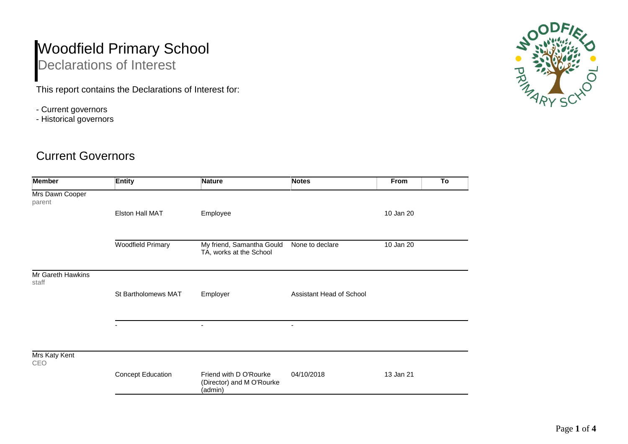## Woodfield Primary School Declarations of Interest

This report contains the Declarations of Interest for:

- Current governors
- Historical governors

## Current Governors

| <b>Member</b>              | <b>Entity</b>            | <b>Nature</b>                                                  | <b>Notes</b>             | From      | To |
|----------------------------|--------------------------|----------------------------------------------------------------|--------------------------|-----------|----|
| Mrs Dawn Cooper<br>parent  |                          |                                                                |                          |           |    |
|                            | <b>Elston Hall MAT</b>   | Employee                                                       |                          | 10 Jan 20 |    |
|                            | <b>Woodfield Primary</b> | My friend, Samantha Gould<br>TA, works at the School           | None to declare          | 10 Jan 20 |    |
| Mr Gareth Hawkins<br>staff |                          |                                                                |                          |           |    |
|                            | St Bartholomews MAT      | Employer                                                       | Assistant Head of School |           |    |
|                            |                          | $\blacksquare$                                                 | $\blacksquare$           |           |    |
| Mrs Katy Kent<br>CEO       |                          |                                                                |                          |           |    |
|                            | <b>Concept Education</b> | Friend with D O'Rourke<br>(Director) and M O'Rourke<br>(admin) | 04/10/2018               | 13 Jan 21 |    |

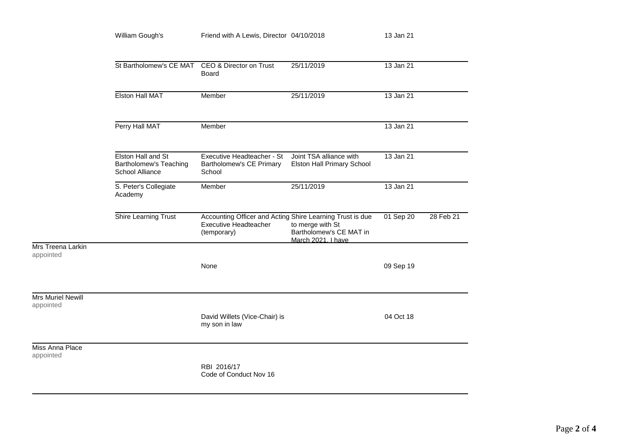|                                       | William Gough's                                                 | Friend with A Lewis, Director 04/10/2018                                                          |                                                                   | 13 Jan 21 |           |
|---------------------------------------|-----------------------------------------------------------------|---------------------------------------------------------------------------------------------------|-------------------------------------------------------------------|-----------|-----------|
|                                       | St Bartholomew's CE MAT CEO & Director on Trust                 | <b>Board</b>                                                                                      | 25/11/2019                                                        | 13 Jan 21 |           |
|                                       | <b>Elston Hall MAT</b>                                          | Member                                                                                            | 25/11/2019                                                        | 13 Jan 21 |           |
|                                       | Perry Hall MAT                                                  | Member                                                                                            |                                                                   | 13 Jan 21 |           |
|                                       | Elston Hall and St<br>Bartholomew's Teaching<br>School Alliance | Executive Headteacher - St<br>Bartholomew's CE Primary<br>School                                  | Joint TSA alliance with<br>Elston Hall Primary School             | 13 Jan 21 |           |
|                                       | S. Peter's Collegiate<br>Academy                                | Member                                                                                            | 25/11/2019                                                        | 13 Jan 21 |           |
|                                       | Shire Learning Trust                                            | Accounting Officer and Acting Shire Learning Trust is due<br>Executive Headteacher<br>(temporary) | to merge with St<br>Bartholomew's CE MAT in<br>March 2021. I have | 01 Sep 20 | 28 Feb 21 |
| Mrs Treena Larkin<br>appointed        |                                                                 | None                                                                                              |                                                                   | 09 Sep 19 |           |
| <b>Mrs Muriel Newill</b><br>appointed |                                                                 | David Willets (Vice-Chair) is<br>my son in law                                                    |                                                                   | 04 Oct 18 |           |
| Miss Anna Place<br>appointed          |                                                                 | RBI 2016/17<br>Code of Conduct Nov 16                                                             |                                                                   |           |           |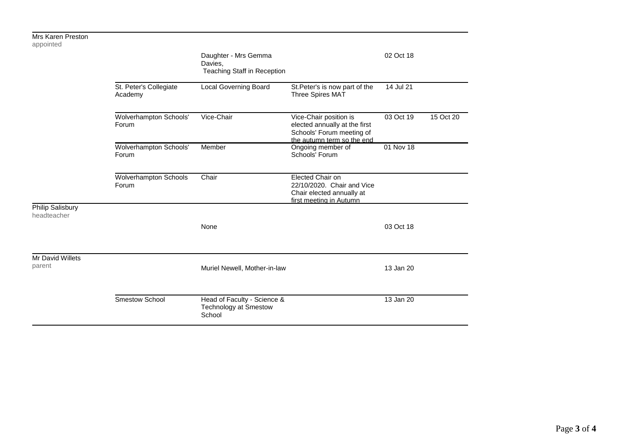| <b><i>IVIIS NATELL FIESIULI</i></b><br>appointed |                                       |                                                                       |                                                                                                                    |                        |           |
|--------------------------------------------------|---------------------------------------|-----------------------------------------------------------------------|--------------------------------------------------------------------------------------------------------------------|------------------------|-----------|
|                                                  |                                       | Daughter - Mrs Gemma<br>Davies,<br>Teaching Staff in Reception        |                                                                                                                    | 02 Oct 18              |           |
|                                                  | St. Peter's Collegiate<br>Academy     | <b>Local Governing Board</b>                                          | St. Peter's is now part of the<br>Three Spires MAT                                                                 | 14 Jul 21              |           |
|                                                  | Wolverhampton Schools'<br>Forum       | Vice-Chair                                                            | Vice-Chair position is<br>elected annually at the first<br>Schools' Forum meeting of<br>the autumn term so the end | $\overline{03}$ Oct 19 | 15 Oct 20 |
|                                                  | Wolverhampton Schools'<br>Forum       | Member                                                                | Ongoing member of<br>Schools' Forum                                                                                | 01 Nov 18              |           |
|                                                  | <b>Wolverhampton Schools</b><br>Forum | Chair                                                                 | Elected Chair on<br>22/10/2020. Chair and Vice<br>Chair elected annually at<br>first meeting in Autumn             |                        |           |
| Philip Salisbury<br>headteacher                  |                                       |                                                                       |                                                                                                                    |                        |           |
|                                                  |                                       | None                                                                  |                                                                                                                    | 03 Oct 18              |           |
| Mr David Willets<br>parent                       |                                       | Muriel Newell, Mother-in-law                                          |                                                                                                                    | 13 Jan 20              |           |
|                                                  | Smestow School                        | Head of Faculty - Science &<br><b>Technology at Smestow</b><br>School |                                                                                                                    | 13 Jan 20              |           |